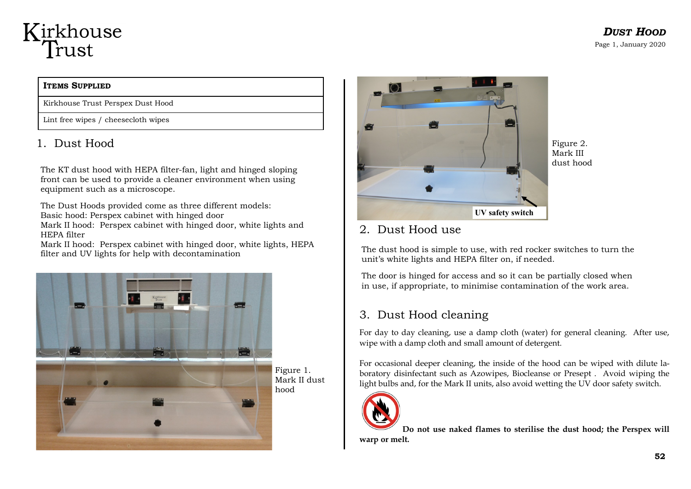## Kirkhouse Trust

#### **ITEMS SUPPLIED**

Kirkhouse Trust Perspex Dust Hood

Lint free wipes / cheesecloth wipes

### 1. Dust Hood

The KT dust hood with HEPA filter-fan, light and hinged sloping front can be used to provide a cleaner environment when using equipment such as a microscope.

The Dust Hoods provided come as three different models: Basic hood: Perspex cabinet with hinged door

Mark II hood: Perspex cabinet with hinged door, white lights and HEPA filter

Mark II hood: Perspex cabinet with hinged door, white lights, HEPA filter and UV lights for help with decontamination



Figure 1. Mark II dust hood



Figure 2. Mark III dust hood

#### 2. Dust Hood use

The dust hood is simple to use, with red rocker switches to turn the unit's white lights and HEPA filter on, if needed.

The door is hinged for access and so it can be partially closed when in use, if appropriate, to minimise contamination of the work area.

#### 3. Dust Hood cleaning

For day to day cleaning, use a damp cloth (water) for general cleaning. After use, wipe with a damp cloth and small amount of detergent.

For occasional deeper cleaning, the inside of the hood can be wiped with dilute laboratory disinfectant such as Azowipes, Biocleanse or Presept . Avoid wiping the light bulbs and, for the Mark II units, also avoid wetting the UV door safety switch.



**Do not use naked flames to sterilise the dust hood; the Perspex will warp or melt.**